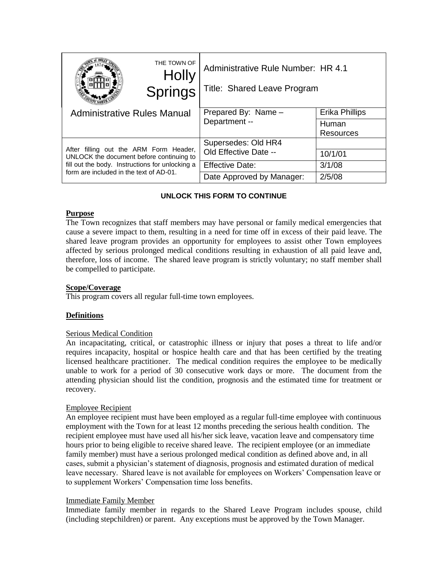|                                                                                                                                                                                  | THE TOWN OF<br><b>Holly</b><br><b>Springs</b> | Administrative Rule Number: HR 4.1<br>Title: Shared Leave Program |                    |
|----------------------------------------------------------------------------------------------------------------------------------------------------------------------------------|-----------------------------------------------|-------------------------------------------------------------------|--------------------|
| <b>Administrative Rules Manual</b>                                                                                                                                               |                                               | Prepared By: Name -<br>Department --                              | Erika Phillips     |
|                                                                                                                                                                                  |                                               |                                                                   | Human<br>Resources |
| After filling out the ARM Form Header,<br>UNLOCK the document before continuing to<br>fill out the body. Instructions for unlocking a<br>form are included in the text of AD-01. |                                               | Supersedes: Old HR4<br>Old Effective Date --                      |                    |
|                                                                                                                                                                                  |                                               |                                                                   | 10/1/01            |
|                                                                                                                                                                                  |                                               | <b>Effective Date:</b>                                            | 3/1/08             |
|                                                                                                                                                                                  |                                               | Date Approved by Manager:                                         | 2/5/08             |

# **UNLOCK THIS FORM TO CONTINUE**

## **Purpose**

The Town recognizes that staff members may have personal or family medical emergencies that cause a severe impact to them, resulting in a need for time off in excess of their paid leave. The shared leave program provides an opportunity for employees to assist other Town employees affected by serious prolonged medical conditions resulting in exhaustion of all paid leave and, therefore, loss of income. The shared leave program is strictly voluntary; no staff member shall be compelled to participate.

### **Scope/Coverage**

This program covers all regular full-time town employees.

## **Definitions**

### Serious Medical Condition

An incapacitating, critical, or catastrophic illness or injury that poses a threat to life and/or requires incapacity, hospital or hospice health care and that has been certified by the treating licensed healthcare practitioner. The medical condition requires the employee to be medically unable to work for a period of 30 consecutive work days or more. The document from the attending physician should list the condition, prognosis and the estimated time for treatment or recovery.

### Employee Recipient

An employee recipient must have been employed as a regular full-time employee with continuous employment with the Town for at least 12 months preceding the serious health condition. The recipient employee must have used all his/her sick leave, vacation leave and compensatory time hours prior to being eligible to receive shared leave. The recipient employee (or an immediate family member) must have a serious prolonged medical condition as defined above and, in all cases, submit a physician's statement of diagnosis, prognosis and estimated duration of medical leave necessary. Shared leave is not available for employees on Workers' Compensation leave or to supplement Workers' Compensation time loss benefits.

### Immediate Family Member

Immediate family member in regards to the Shared Leave Program includes spouse, child (including stepchildren) or parent. Any exceptions must be approved by the Town Manager.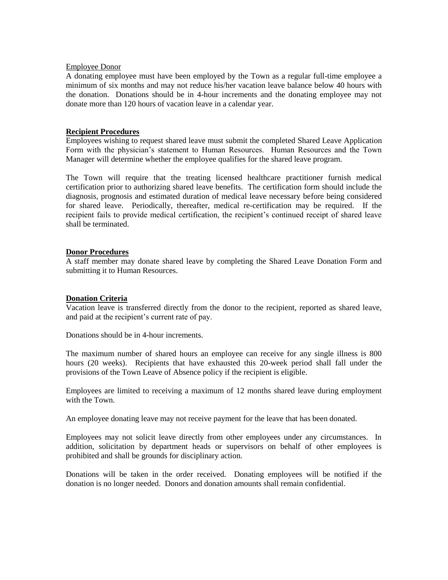### Employee Donor

A donating employee must have been employed by the Town as a regular full-time employee a minimum of six months and may not reduce his/her vacation leave balance below 40 hours with the donation. Donations should be in 4-hour increments and the donating employee may not donate more than 120 hours of vacation leave in a calendar year.

### **Recipient Procedures**

Employees wishing to request shared leave must submit the completed Shared Leave Application Form with the physician's statement to Human Resources. Human Resources and the Town Manager will determine whether the employee qualifies for the shared leave program.

The Town will require that the treating licensed healthcare practitioner furnish medical certification prior to authorizing shared leave benefits. The certification form should include the diagnosis, prognosis and estimated duration of medical leave necessary before being considered for shared leave. Periodically, thereafter, medical re-certification may be required. If the recipient fails to provide medical certification, the recipient's continued receipt of shared leave shall be terminated.

## **Donor Procedures**

A staff member may donate shared leave by completing the Shared Leave Donation Form and submitting it to Human Resources.

## **Donation Criteria**

Vacation leave is transferred directly from the donor to the recipient, reported as shared leave, and paid at the recipient's current rate of pay.

Donations should be in 4-hour increments.

The maximum number of shared hours an employee can receive for any single illness is 800 hours (20 weeks). Recipients that have exhausted this 20-week period shall fall under the provisions of the Town Leave of Absence policy if the recipient is eligible.

Employees are limited to receiving a maximum of 12 months shared leave during employment with the Town.

An employee donating leave may not receive payment for the leave that has been donated.

Employees may not solicit leave directly from other employees under any circumstances. In addition, solicitation by department heads or supervisors on behalf of other employees is prohibited and shall be grounds for disciplinary action.

Donations will be taken in the order received. Donating employees will be notified if the donation is no longer needed. Donors and donation amounts shall remain confidential.